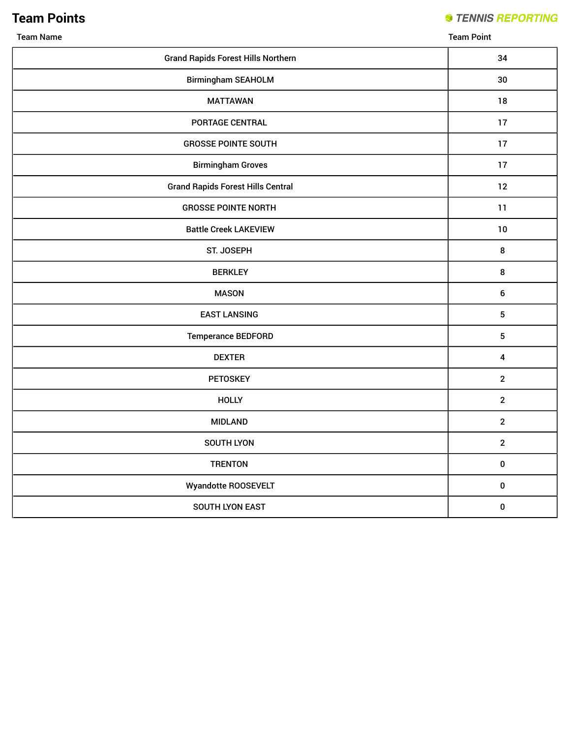## **Team Points**

#### **STENNIS REPORTING**

Team Name Team Point

| <b>Grand Rapids Forest Hills Northern</b> | 34                      |
|-------------------------------------------|-------------------------|
| <b>Birmingham SEAHOLM</b>                 | 30                      |
| <b>MATTAWAN</b>                           | 18                      |
| PORTAGE CENTRAL                           | 17                      |
| <b>GROSSE POINTE SOUTH</b>                | 17                      |
| <b>Birmingham Groves</b>                  | 17                      |
| <b>Grand Rapids Forest Hills Central</b>  | 12                      |
| <b>GROSSE POINTE NORTH</b>                | 11                      |
| <b>Battle Creek LAKEVIEW</b>              | 10                      |
| ST. JOSEPH                                | $\bf 8$                 |
| <b>BERKLEY</b>                            | $\bf 8$                 |
| <b>MASON</b>                              | $\bf 6$                 |
| <b>EAST LANSING</b>                       | $\sqrt{5}$              |
| <b>Temperance BEDFORD</b>                 | $\sqrt{5}$              |
| <b>DEXTER</b>                             | $\overline{\mathbf{4}}$ |
| PETOSKEY                                  | $\mathbf{2}$            |
| <b>HOLLY</b>                              | $\overline{2}$          |
| <b>MIDLAND</b>                            | $\mathbf{2}$            |
| SOUTH LYON                                | $\mathbf{2}$            |
| <b>TRENTON</b>                            | $\pmb{0}$               |
| Wyandotte ROOSEVELT                       | $\pmb{0}$               |
| SOUTH LYON EAST                           | $\pmb{0}$               |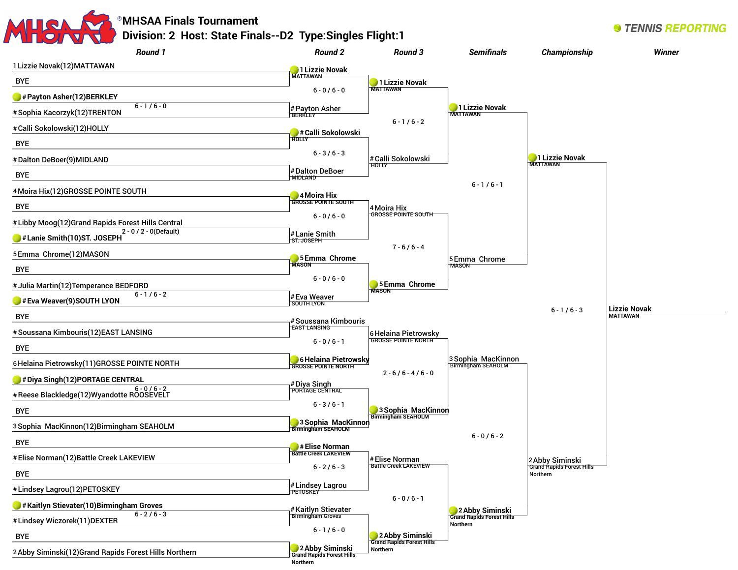

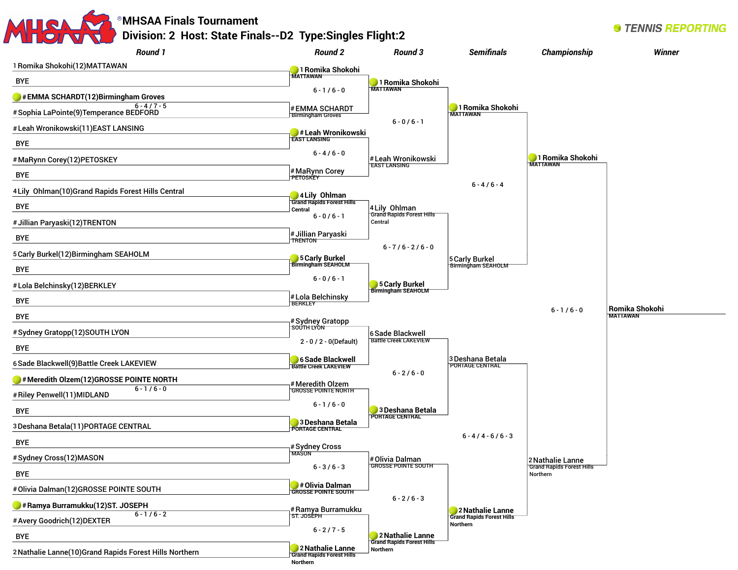### **MHSAA Finals Tournament Division: 2 Host: State Finals--D2 Type:Singles Flight:2**

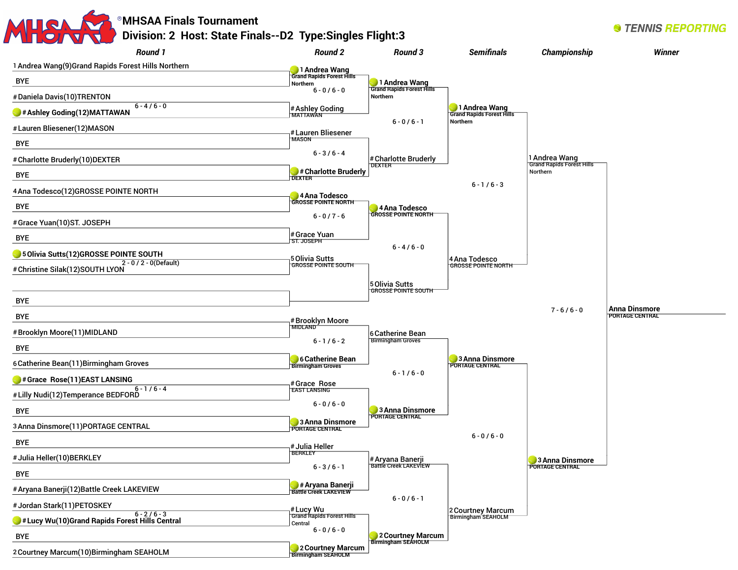| <b>Round 1</b>                                             | <b>Round 2</b>                                | Round 3                                      | <b>Semifinals</b>                           | Championship                                 | Winner                                         |
|------------------------------------------------------------|-----------------------------------------------|----------------------------------------------|---------------------------------------------|----------------------------------------------|------------------------------------------------|
| 1 Andrea Wang(9)Grand Rapids Forest Hills Northern         | 1 Andrea Wang                                 |                                              |                                             |                                              |                                                |
| <b>BYE</b>                                                 | <b>Grand Rapids Forest Hills</b><br>Northern  | 1 Andrea Wang<br>Grand Rapids Forest Hills   |                                             |                                              |                                                |
| #Daniela Davis(10)TRENTON                                  | $6 - 0 / 6 - 0$                               | Northern                                     |                                             |                                              |                                                |
| $6 - 4/6 - 0$<br># Ashley Goding (12) MATTAWAN             | # Ashley Goding<br>MATTAWAN                   |                                              | 1 Andrea Wang<br>Grand Rapids Forest Hills  |                                              |                                                |
| # Lauren Bliesener(12) MASON                               | # Lauren Bliesener                            | $6 - 0/6 - 1$                                | Northern                                    |                                              |                                                |
| <b>BYE</b>                                                 | <b>MASON</b>                                  |                                              |                                             |                                              |                                                |
| # Charlotte Bruderly(10)DEXTER                             | $6 - 3 / 6 - 4$                               | # Charlotte Bruderly                         |                                             | 1 Andrea Wang                                |                                                |
| <b>BYE</b>                                                 | # Charlotte Bruderly<br><b>DEXTER</b>         | <b>DEXTER</b>                                |                                             | <b>Grand Rapids Forest Hills</b><br>Northern |                                                |
| 4 Ana Todesco(12)GROSSE POINTE NORTH                       |                                               |                                              | $6 - 1/6 - 3$                               |                                              |                                                |
| <b>BYE</b>                                                 | 4 Ana Todesco<br><b>GROSSE POINTE NORTH</b>   | Ana Todesco                                  |                                             |                                              |                                                |
| #Grace Yuan(10)ST. JOSEPH                                  | $6 - 0 / 7 - 6$                               | <b>GROSSE POINTE NORTH</b>                   |                                             |                                              |                                                |
| <b>BYE</b>                                                 | # Grace Yuan                                  |                                              |                                             |                                              |                                                |
| 5 Olivia Sutts(12)GROSSE POINTE SOUTH                      |                                               | $6 - 4/6 - 0$                                |                                             |                                              |                                                |
| 2 - 0 / 2 - 0(Default)<br># Christine Silak(12) SOUTH LYON | 5 Olivia Sutts<br><b>GROSSE POINTE SOUTH</b>  |                                              | 4 Ana Todesco<br><b>GROSSE POINTE NORTH</b> |                                              |                                                |
|                                                            |                                               | 5 Olivia Sutts                               |                                             |                                              |                                                |
| <b>BYE</b>                                                 |                                               | <b>GROSSE POINTE SOUTH</b>                   |                                             |                                              |                                                |
| <b>BYE</b>                                                 |                                               |                                              |                                             | $7 - 6/6 - 0$                                | <b>Anna Dinsmore</b><br><b>PORTAGE CENTRAL</b> |
| #Brooklyn Moore(11)MIDLAND                                 | #Brooklyn Moore<br><b>MIDLAND</b>             |                                              |                                             |                                              |                                                |
|                                                            | $6 - 1/6 - 2$                                 | 6 Catherine Bean<br><b>Birmingham Groves</b> |                                             |                                              |                                                |
| <b>BYE</b>                                                 | 6 Catherine Bean                              |                                              | 3 Anna Dinsmore                             |                                              |                                                |
| 6 Catherine Bean(11) Birmingham Groves                     | <b>Birmingham Groves</b>                      | $6 - 1/6 - 0$                                | PORTAGE CENTRAL                             |                                              |                                                |
| #Grace Rose(11)EAST LANSING<br>$6 - 1/6 - 4$               | #Grace Rose<br><b>EAST LANSING</b>            |                                              |                                             |                                              |                                                |
| # Lilly Nudi(12) Temperance BEDFORD                        | $6 - 0 / 6 - 0$                               |                                              |                                             |                                              |                                                |
| <b>BYE</b>                                                 | 3 Anna Dinsmore                               | 3 Anna Dinsmore<br>PORTAGE CENTRAL           |                                             |                                              |                                                |
| 3 Anna Dinsmore(11) PORTAGE CENTRAL                        | <b>PORTAGE CENTRAL</b>                        |                                              | $6 - 0 / 6 - 0$                             |                                              |                                                |
| <b>BYE</b>                                                 | # Julia Heller<br><b>BERKLEY</b>              |                                              |                                             |                                              |                                                |
| # Julia Heller(10)BERKLEY                                  | $6 - 3 / 6 - 1$                               | # Aryana Banerji<br>Battle Creek LAKEVIEW    |                                             | 3 Anna Dinsmore<br>PORTAGE CENTRAL           |                                                |
| <b>BYE</b>                                                 |                                               |                                              |                                             |                                              |                                                |
| # Aryana Banerji(12) Battle Creek LAKEVIEW                 | # Aryana Banerji                              | $6 - 0/6 - 1$                                |                                             |                                              |                                                |
| # Jordan Stark(11) PETOSKEY<br>$6 - 2/6 - 3$               | # Lucy Wu<br><b>Grand Rapids Forest Hills</b> |                                              | 2 Courtney Marcum                           |                                              |                                                |
| # Lucy Wu(10) Grand Rapids Forest Hills Central            | Central<br>$6 - 0 / 6 - 0$                    |                                              | Birmingham SEAHOLM                          |                                              |                                                |
| <b>BYE</b>                                                 |                                               | 2 Courtney Marcum                            |                                             |                                              |                                                |
| 2 Courtney Marcum(10) Birmingham SEAHOLM                   | 2 Courtney Marcum                             |                                              |                                             |                                              |                                                |

2Courtney Marcum(10)Birmingham SEAHOLM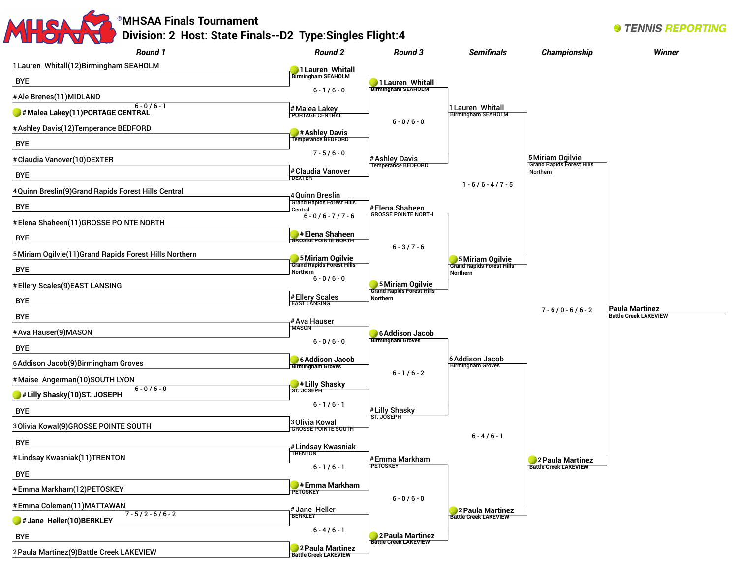## **MHSAA Finals Tournament Division: 2 Host: State Finals--D2 Type:Singles Flight:4**

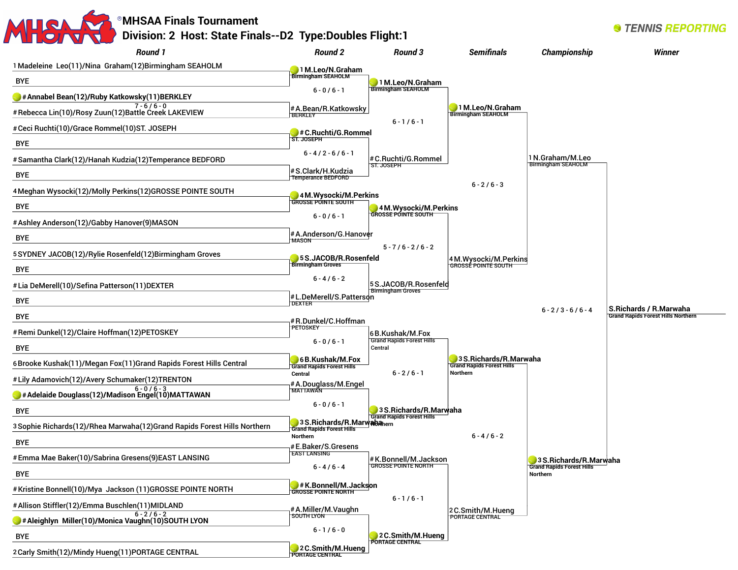#### **MHSAA Finals Tournament Division: 2 Host: State Finals--D2 Type:Doubles Flight:1** *Round 1 Round 2 Round 3* **Semifinals** Championship

1Madeleine Leo(11)/Nina Graham(12)Birmingham SEAHOLM BYE **#Annabel Bean(12)/Ruby Katkowsky(11)BERKLEY**  $7 - 6 / 6 - 0$ #Rebecca Lin(10)/Rosy Zuun(12)Battle Creek LAKEVIEW #Ceci Ruchti(10)/Grace Rommel(10)ST. JOSEPH BYE #Samantha Clark(12)/Hanah Kudzia(12)Temperance BEDFORD BYE 4Meghan Wysocki(12)/Molly Perkins(12)GROSSE POINTE SOUTH BYE #Ashley Anderson(12)/Gabby Hanover(9)MASON BYE 5SYDNEY JACOB(12)/Rylie Rosenfeld(12)Birmingham Groves BYE #Lia DeMerell(10)/Sefina Patterson(11)DEXTER BYE BYE #Remi Dunkel(12)/Claire Hoffman(12)PETOSKEY BYE 6Brooke Kushak(11)/Megan Fox(11)Grand Rapids Forest Hills Central #Lily Adamovich(12)/Avery Schumaker(12)TRENTON  $6 - 0 / 6 - 3$ **#Adelaide Douglass(12)/Madison Engel(10)MATTAWAN** BYE 3Sophie Richards(12)/Rhea Marwaha(12)Grand Rapids Forest Hills Northern BYE #Emma Mae Baker(10)/Sabrina Gresens(9)EAST LANSING BYE #Kristine Bonnell(10)/Mya Jackson (11)GROSSE POINTE NORTH #Allison Stiffler(12)/Emma Buschlen(11)MIDLAND  $6 - 2 / 6 - 2$ **#Aleighlyn Miller(10)/Monica Vaughn(10)SOUTH LYON**  BYE 2Carly Smith(12)/Mindy Hueng(11)PORTAGE CENTRAL **1M.Leo/N.Graham Birmingham SEAHOLM**  $6 - 0 / 6 - 1$ #A.Bean/R.Katkowsky BERKLEY **#C.Ruchti/G.Rommel ST. JOSEPH**   $6 - 4 / 2 - 6 / 6 - 1$ #S.Clark/H.Kudzia Temperance BEDFORD **4M.Wysocki/M.Perkins GROSSE POINTE SOUTH**  $6 - 0 / 6 - 1$ #A.Anderson/G.Hanover **MASON 5S.JACOB/R.Rosenfeld Birmingham Groves**  $6 - 4 / 6 - 2$ #L.DeMerell/S.Patterson DEXTER #R.Dunkel/C.Hoffman **PETOSKEY**  $6 - 0 / 6 - 1$ **6B.Kushak/M.Fox Grand Rapids Forest Hills Central** #A.Douglass/M.Engel MATTAWAN  $6 - 0 / 6 - 1$ **3** S.Richards/R.Marw**aba**hern<br>Grand Rapids Forest Hills **Northern** #E.Baker/S.Gresens EAST LANSING  $6 - 4 / 6 - 4$ **#K.Bonnell/M.Jackson GROSSE POINTE NORTH**  #A.Miller/M.Vaughn SOUTH LYON  $6 - 1 / 6 - 0$ **2C.Smith/M.Hueng PORTAGE CENTRAL 1M.Leo/N.Graham Birmingham SEAHOLM**  $6 - 1 / 6 - 1$ #C.Ruchti/G.Rommel ST. JOSEPH **4M.Wysocki/M.Perkins GROSSE POINTE SOUTH** 5 - 7 / 6 - 2 / 6 - 2 5S.JACOB/R.Rosenfeld Birmingham Groves 6B.Kushak/M.Fox Grand Rapids Forest Hills Central  $6 - 2 / 6 - 1$ **3S.Richards/R.Marwaha Grand Rapids Forest Hills**  #K.Bonnell/M.Jackson GROSSE POINTE NORTH  $6 - 1 / 6 - 1$ **2C.Smith/M.Hueng PORTAGE CENTRAL 1M.Leo/N.Graham Birmingham SEAHOLM**  $6 - 2 / 6 - 3$ 4M.Wysocki/M.Perkins GROSSE POINTE SOUTH **3S.Richards/R.Marwaha Grand Rapids Forest Hills Northern**  $6 - 4 / 6 - 2$ 2C.Smith/M.Hueng PORTAGE CENTRAL 1N.Graham/M.Leo Birmingham SEAHOLM  $6 - 2 / 3 - 6 / 6 - 4$ **3S.Richards/R.Marwaha Grand Rapids Forest Hills Northern Winner S.Richards / R.Marwaha Grand Rapids Forest Hills Northern**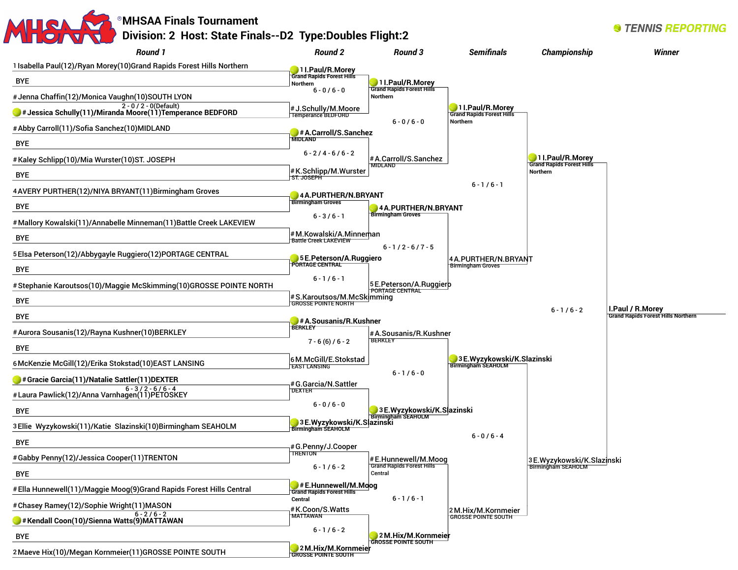# **MHSAA Finals Tournament Division: 2 Host: State Finals--D2 Type:Doubles Flight:2**

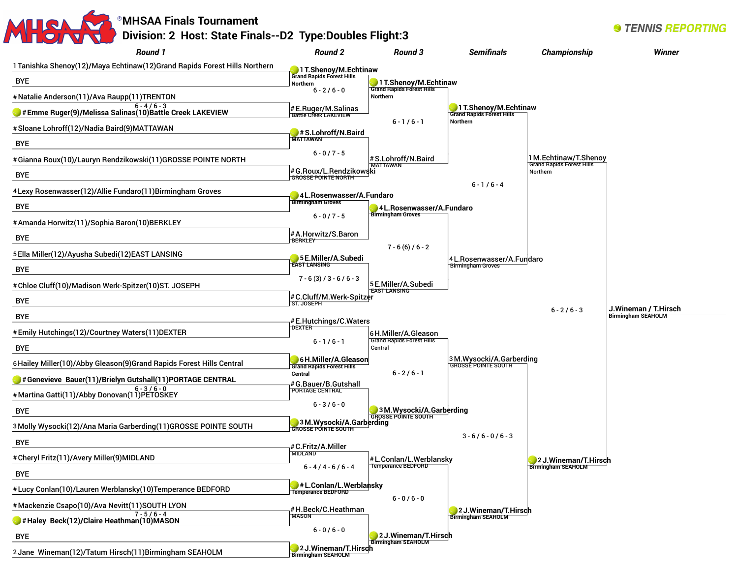